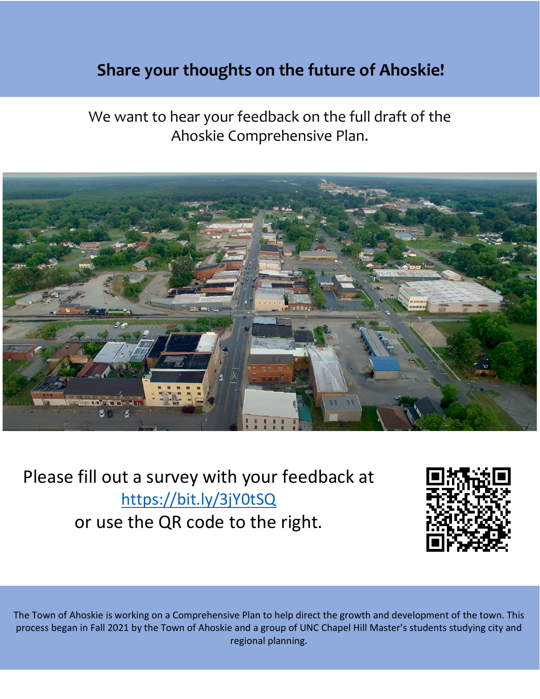## **Share your thoughts on the Future of Faison! Share your thoughts on the future of Ahoskie!**

We want to hear your feedback on the full draft of the Ahoskie Comprehensive Plan.



Please fill out a survey with your feedback at <https://bit.ly/3jY0tSQ> or use the QR code to the right.



The Town of Ahoskie is working on a Comprehensive Plan to help direct the growth and development of the town. This process began in Fall 2021 by the Town of Ahoskie and a group of UNC Chapel Hill Master's students studying city and regional planning.